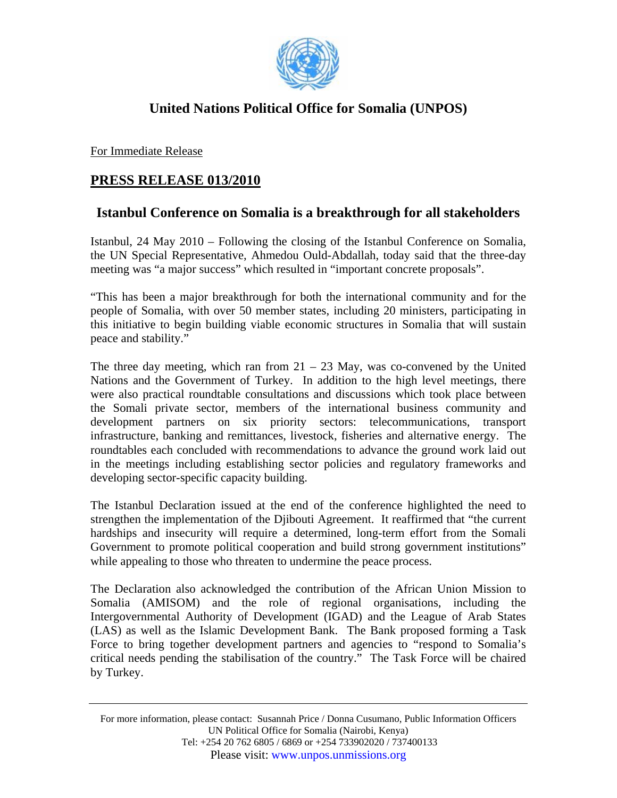

## **United Nations Political Office for Somalia (UNPOS)**

For Immediate Release

## **PRESS RELEASE 013/2010**

## **Istanbul Conference on Somalia is a breakthrough for all stakeholders**

Istanbul, 24 May 2010 – Following the closing of the Istanbul Conference on Somalia, the UN Special Representative, Ahmedou Ould-Abdallah, today said that the three-day meeting was "a major success" which resulted in "important concrete proposals".

"This has been a major breakthrough for both the international community and for the people of Somalia, with over 50 member states, including 20 ministers, participating in this initiative to begin building viable economic structures in Somalia that will sustain peace and stability."

The three day meeting, which ran from  $21 - 23$  May, was co-convened by the United Nations and the Government of Turkey. In addition to the high level meetings, there were also practical roundtable consultations and discussions which took place between the Somali private sector, members of the international business community and development partners on six priority sectors: telecommunications, transport infrastructure, banking and remittances, livestock, fisheries and alternative energy. The roundtables each concluded with recommendations to advance the ground work laid out in the meetings including establishing sector policies and regulatory frameworks and developing sector-specific capacity building.

The Istanbul Declaration issued at the end of the conference highlighted the need to strengthen the implementation of the Djibouti Agreement. It reaffirmed that "the current hardships and insecurity will require a determined, long-term effort from the Somali Government to promote political cooperation and build strong government institutions" while appealing to those who threaten to undermine the peace process.

The Declaration also acknowledged the contribution of the African Union Mission to Somalia (AMISOM) and the role of regional organisations, including the Intergovernmental Authority of Development (IGAD) and the League of Arab States (LAS) as well as the Islamic Development Bank. The Bank proposed forming a Task Force to bring together development partners and agencies to "respond to Somalia's critical needs pending the stabilisation of the country." The Task Force will be chaired by Turkey.

For more information, please contact: Susannah Price / Donna Cusumano, Public Information Officers UN Political Office for Somalia (Nairobi, Kenya) Tel: +254 20 762 6805 / 6869 or +254 733902020 / 737400133 Please visit: www.unpos.unmissions.org